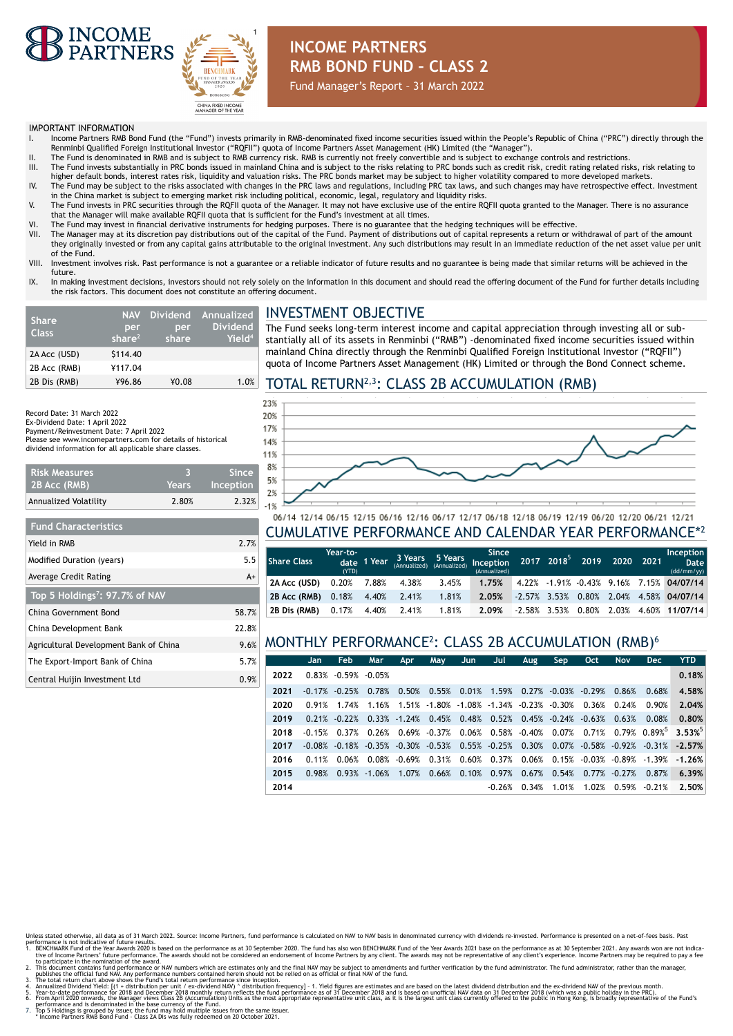



## **INCOME PARTNERS RMB BOND FUND – CLASS 2**

Fund Manager's Report – 31 March 2022

#### IMPORTANT INFORMATION

- I. Income Partners RMB Bond Fund (the "Fund") invests primarily in RMB-denominated fixed income securities issued within the People's Republic of China ("PRC") directly through the Renminbi Qualified Foreign Institutional Investor ("RQFII") quota of Income Partners Asset Management (HK) Limited (the "Manager").
- II. The Fund is denominated in RMB and is subject to RMB currency risk. RMB is currently not freely convertible and is subject to exchange controls and restrictions.<br>III. The Fund invests substantially in PRC bonds
- higher default bonds, interest rates risk, liquidity and valuation risks. The PRC bonds market may be subject to higher volatility compared to more developed markets. IV. The Fund may be subject to the risks associated with changes in the PRC laws and regulations, including PRC tax laws, and such changes may have retrospective effect. Investment
- in the China market is subject to emerging market risk including political, economic, legal, regulatory and liquidity risks. V. The Fund invests in PRC securities through the RQFII quota of the Manager. It may not have exclusive use of the entire RQFII quota granted to the Manager. There is no assurance
- that the Manager will make available RQFII quota that is sufficient for the Fund's investment at all times.
- VI. The Fund may invest in financial derivative instruments for hedging purposes. There is no guarantee that the hedging techniques will be effective.
- The Manager may at its discretion pay distributions out of the capital of the Fund. Payment of distributions out of capital represents a return or withdrawal of part of the amount they originally invested or from any capital gains attributable to the original investment. Any such distributions may result in an immediate reduction of the net asset value per unit of the Fund.
- VIII. Investment involves risk. Past performance is not a guarantee or a reliable indicator of future results and no guarantee is being made that similar returns will be achieved in the future.
- IX. In making investment decisions, investors should not rely solely on the information in this document and should read the offering document of the Fund for further details including the risk factors. This document does not constitute an offering document.

| <b>Share</b><br><b>Class</b> | <b>NAV</b><br>per<br>share $2$ | per<br>share | Dividend Annualized<br><b>Dividend</b><br>Yield <sup>4</sup> |
|------------------------------|--------------------------------|--------------|--------------------------------------------------------------|
| 2A Acc (USD)                 | \$114.40                       |              |                                                              |
| 2B Acc (RMB)                 | ¥117.04                        |              |                                                              |
| 2B Dis (RMB)                 | ¥96.86                         | ¥0.08        | 1.0%                                                         |

#### INVESTMENT OBJECTIVE

The Fund seeks long-term interest income and capital appreciation through investing all or substantially all of its assets in Renminbi ("RMB") -denominated fixed income securities issued within mainland China directly through the Renminbi Qualified Foreign Institutional Investor ("RQFII") quota of Income Partners Asset Management (HK) Limited or through the Bond Connect scheme.

#### TOTAL RETURN2,3: CLASS 2B ACCUMULATION (RMB)

Record Date: 31 March 2022 Ex-Dividend Date: 1 April 2022 Payment/Reinvestment Date: 7 April 2022 Please see www.incomepartners.com for details of historical dividend information for all applicable share classes.

| I Risk Measures'<br>2B Acc (RMB) | 'Years | Since<br>Inception |
|----------------------------------|--------|--------------------|
| Annualized Volatility            | 2.80%  | 2.32%              |

| <b>Fund Characteristics</b>                |       |
|--------------------------------------------|-------|
| Yield in RMB                               | 2.7%  |
| Modified Duration (years)                  | 5.5   |
| Average Credit Rating                      | $A+$  |
| Top 5 Holdings <sup>7</sup> : 97.7% of NAV |       |
| China Government Bond                      | 58.7% |
| China Development Bank                     | 22.8% |
| Agricultural Development Bank of China     | 9.6%  |
| The Export-Import Bank of China            | 5.7%  |
| Central Huijin Investment Ltd              | 0.9%  |



#### 06/14 12/14 06/15 12/15 06/16 12/16 06/17 12/17 06/18 12/18 06/19 12/19 06/20 12/20 06/21 12/21 CUMULATIVE PERFORMANCE AND CALENDAR YEAR PERFORMANCE\*<sup>2</sup>

| l Share Class | Year-to-<br>(YTD) | date 1 Year |       | 3 Years 5 Years<br>(Annualized) (Annualized) | Since<br>Inception<br>(Annualized) | 2017 2018 <sup>5</sup> 2019 2020 2021 |                 |          |       | Inception<br>Date<br>(dd/mm/yy)            |
|---------------|-------------------|-------------|-------|----------------------------------------------|------------------------------------|---------------------------------------|-----------------|----------|-------|--------------------------------------------|
| 2A Acc (USD)  | $0.20\%$ 7.88%    |             | 4.38% | 3.45%                                        | 1.75%                              |                                       |                 |          |       | 4.22% -1.91% -0.43% 9.16% 7.15% 04/07/14   |
| 2B Acc (RMB)  | 0.18%             | 4.40%       | 2.41% | 1.81%                                        | 2.05%                              |                                       |                 |          |       | $-2.57\%$ 3.53% 0.80% 2.04% 4.58% 04/07/14 |
| 2B Dis (RMB)  | 0.17%             | 4.40%       | 2.41% | 1.81%                                        | 2.09%                              |                                       | $-2.58\%$ 3.53% | $0.80\%$ | 2.03% | 4.60% 11/07/14                             |

## MONTHLY PERFORMANCE<sup>2</sup> : CLASS 2B ACCUMULATION (RMB)<sup>6</sup>

|      | Jan.      | <b>Feb</b>               | Mar   | Apr | May                                                                           | Jun. | Jul      | Aug                             | Sep                                  | Oct. | <b>Nov</b>                         | <b>Dec</b> | <b>YTD</b>                                                                                         |
|------|-----------|--------------------------|-------|-----|-------------------------------------------------------------------------------|------|----------|---------------------------------|--------------------------------------|------|------------------------------------|------------|----------------------------------------------------------------------------------------------------|
| 2022 |           | $0.83\% -0.59\% -0.05\%$ |       |     |                                                                               |      |          |                                 |                                      |      |                                    |            | 0.18%                                                                                              |
| 2021 |           | $-0.17\%$ $-0.25\%$      |       |     | $0.78\%$ 0.50% 0.55% 0.01% 1.59% 0.27% -0.03% -0.29% 0.86%                    |      |          |                                 |                                      |      |                                    | 0.68%      | 4.58%                                                                                              |
| 2020 | 0.91%     | 1.74%                    | 1.16% |     | $1.51\%$ $-1.80\%$ $-1.08\%$ $-1.34\%$ $-0.23\%$ $-0.30\%$ $0.36\%$ $0.24\%$  |      |          |                                 |                                      |      |                                    | 0.90%      | 2.04%                                                                                              |
| 2019 |           | $0.21\%$ -0.22%          |       |     | $0.33\%$ -1.24% $0.45\%$ 0.48%                                                |      |          | $0.52\%$ $0.45\%$ -0.24% -0.63% |                                      |      | 0.63%                              | 0.08%      | 0.80%                                                                                              |
| 2018 | $-0.15%$  | 0.37%                    |       |     |                                                                               |      |          |                                 |                                      |      |                                    |            | $0.26\%$ $0.69\%$ $0.37\%$ $0.06\%$ $0.58\%$ $0.40\%$ $0.07\%$ $0.71\%$ $0.79\%$ $0.89\%$ $3.53\%$ |
| 2017 | $-0.08\%$ | $-0.18\%$                |       |     | $-0.35\%$ $-0.30\%$ $-0.53\%$ 0.55% $-0.25\%$ 0.30% 0.07% $-0.58\%$ $-0.92\%$ |      |          |                                 |                                      |      |                                    |            | $-0.31\%$ $-2.57\%$                                                                                |
| 2016 | 0.11%     | 0.06%                    |       |     | $0.08\%$ $-0.69\%$ $0.31\%$ $0.60\%$                                          |      |          |                                 |                                      |      | $0.37\%$ 0.06% 0.15% -0.03% -0.89% | -1.39%     | $-1.26%$                                                                                           |
| 2015 | 0.98%     | 0.93%                    |       |     | $-1.06\%$ 1.07% 0.66% 0.10%                                                   |      | 0.97%    |                                 | $0.67\%$ $0.54\%$ $0.77\%$ $-0.27\%$ |      |                                    | 0.87%      | 6.39%                                                                                              |
| 2014 |           |                          |       |     |                                                                               |      | $-0.26%$ | 0.34%                           | 1.01%                                |      | 1.02% 0.59%                        | $-0.21%$   | 2.50%                                                                                              |

- 
- 
- Unless tate of therwise, all data as of 31 March 2022. Source: Income Partners, fund performance is alculated on NAV to NAV basis in denominated currency with dividends re-invested. Performance is persented on a net-of-fee
- mance and is denominated in the base currency of the Fund.<br>Holdings is grouped by issuer, the fund may hold multiple issues from the same iss<br>ne Partners RMB Bond Fund Class 2A Dis was fully redeemed on 20 October 2021.
-